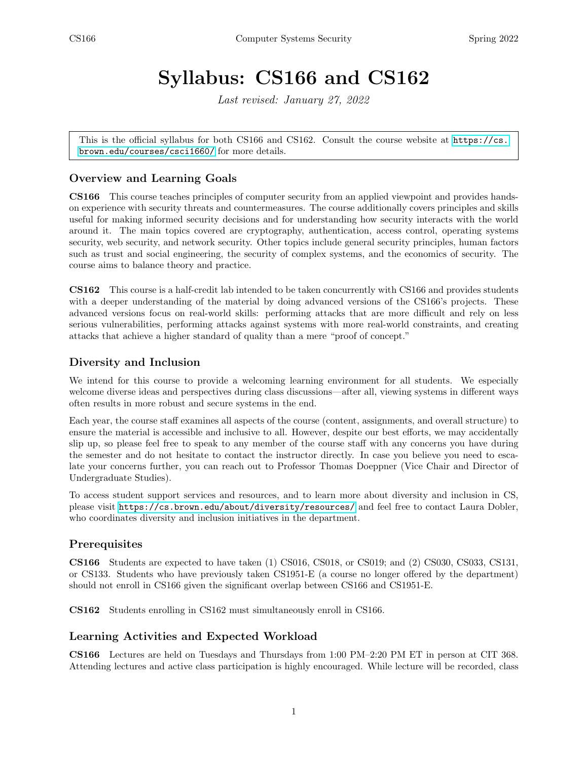# Syllabus: CS166 and CS162

Last revised: January 27, 2022

This is the official syllabus for both CS166 and CS162. Consult the course website at [https://cs.](https://cs.brown.edu/courses/csci1660/) [brown.edu/courses/csci1660/](https://cs.brown.edu/courses/csci1660/) for more details.

## Overview and Learning Goals

CS166 This course teaches principles of computer security from an applied viewpoint and provides handson experience with security threats and countermeasures. The course additionally covers principles and skills useful for making informed security decisions and for understanding how security interacts with the world around it. The main topics covered are cryptography, authentication, access control, operating systems security, web security, and network security. Other topics include general security principles, human factors such as trust and social engineering, the security of complex systems, and the economics of security. The course aims to balance theory and practice.

CS162 This course is a half-credit lab intended to be taken concurrently with CS166 and provides students with a deeper understanding of the material by doing advanced versions of the CS166's projects. These advanced versions focus on real-world skills: performing attacks that are more difficult and rely on less serious vulnerabilities, performing attacks against systems with more real-world constraints, and creating attacks that achieve a higher standard of quality than a mere "proof of concept."

## Diversity and Inclusion

We intend for this course to provide a welcoming learning environment for all students. We especially welcome diverse ideas and perspectives during class discussions—after all, viewing systems in different ways often results in more robust and secure systems in the end.

Each year, the course staff examines all aspects of the course (content, assignments, and overall structure) to ensure the material is accessible and inclusive to all. However, despite our best efforts, we may accidentally slip up, so please feel free to speak to any member of the course staff with any concerns you have during the semester and do not hesitate to contact the instructor directly. In case you believe you need to escalate your concerns further, you can reach out to Professor Thomas Doeppner (Vice Chair and Director of Undergraduate Studies).

To access student support services and resources, and to learn more about diversity and inclusion in CS, please visit <https://cs.brown.edu/about/diversity/resources/> and feel free to contact Laura Dobler, who coordinates diversity and inclusion initiatives in the department.

## **Prerequisites**

CS166 Students are expected to have taken (1) CS016, CS018, or CS019; and (2) CS030, CS033, CS131, or CS133. Students who have previously taken CS1951-E (a course no longer offered by the department) should not enroll in CS166 given the significant overlap between CS166 and CS1951-E.

CS162 Students enrolling in CS162 must simultaneously enroll in CS166.

## Learning Activities and Expected Workload

CS166 Lectures are held on Tuesdays and Thursdays from 1:00 PM–2:20 PM ET in person at CIT 368. Attending lectures and active class participation is highly encouraged. While lecture will be recorded, class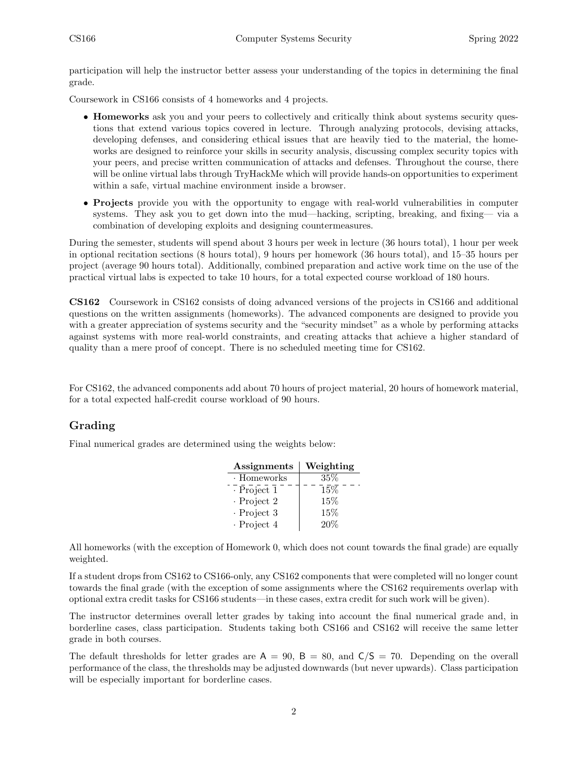participation will help the instructor better assess your understanding of the topics in determining the final grade.

Coursework in CS166 consists of 4 homeworks and 4 projects.

- **Homeworks** ask you and your peers to collectively and critically think about systems security questions that extend various topics covered in lecture. Through analyzing protocols, devising attacks, developing defenses, and considering ethical issues that are heavily tied to the material, the homeworks are designed to reinforce your skills in security analysis, discussing complex security topics with your peers, and precise written communication of attacks and defenses. Throughout the course, there will be online virtual labs through TryHackMe which will provide hands-on opportunities to experiment within a safe, virtual machine environment inside a browser.
- Projects provide you with the opportunity to engage with real-world vulnerabilities in computer systems. They ask you to get down into the mud—hacking, scripting, breaking, and fixing— via a combination of developing exploits and designing countermeasures.

During the semester, students will spend about 3 hours per week in lecture (36 hours total), 1 hour per week in optional recitation sections (8 hours total), 9 hours per homework (36 hours total), and 15–35 hours per project (average 90 hours total). Additionally, combined preparation and active work time on the use of the practical virtual labs is expected to take 10 hours, for a total expected course workload of 180 hours.

CS162 Coursework in CS162 consists of doing advanced versions of the projects in CS166 and additional questions on the written assignments (homeworks). The advanced components are designed to provide you with a greater appreciation of systems security and the "security mindset" as a whole by performing attacks against systems with more real-world constraints, and creating attacks that achieve a higher standard of quality than a mere proof of concept. There is no scheduled meeting time for CS162.

For CS162, the advanced components add about 70 hours of project material, 20 hours of homework material, for a total expected half-credit course workload of 90 hours.

## Grading

Final numerical grades are determined using the weights below:

| Assignments       | Weighting |
|-------------------|-----------|
| · Homeworks       | $35\%$    |
| $\cdot$ Project 1 | 15%       |
| $\cdot$ Project 2 | 15%       |
| $\cdot$ Project 3 | 15%       |
| $\cdot$ Project 4 | 20%       |

All homeworks (with the exception of Homework 0, which does not count towards the final grade) are equally weighted.

If a student drops from CS162 to CS166-only, any CS162 components that were completed will no longer count towards the final grade (with the exception of some assignments where the CS162 requirements overlap with optional extra credit tasks for CS166 students—in these cases, extra credit for such work will be given).

The instructor determines overall letter grades by taking into account the final numerical grade and, in borderline cases, class participation. Students taking both CS166 and CS162 will receive the same letter grade in both courses.

The default thresholds for letter grades are  $A = 90$ ,  $B = 80$ , and  $C/S = 70$ . Depending on the overall performance of the class, the thresholds may be adjusted downwards (but never upwards). Class participation will be especially important for borderline cases.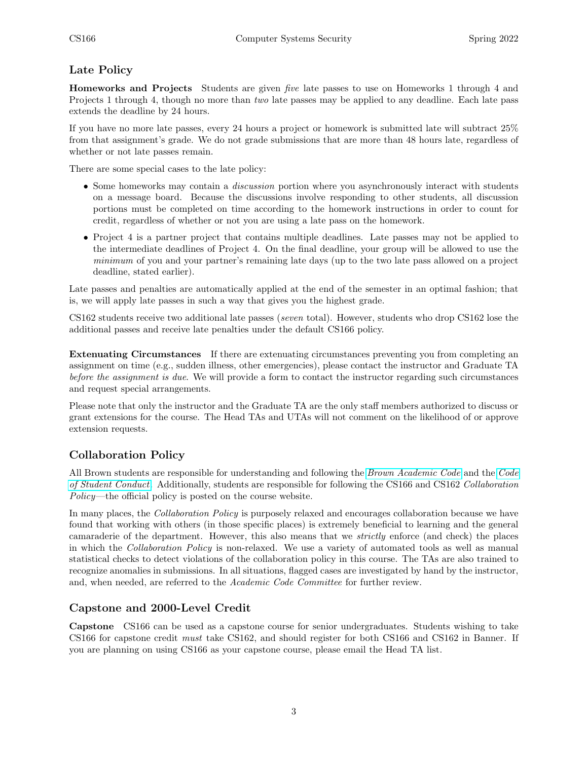# Late Policy

Homeworks and Projects Students are given five late passes to use on Homeworks 1 through 4 and Projects 1 through 4, though no more than two late passes may be applied to any deadline. Each late pass extends the deadline by 24 hours.

If you have no more late passes, every 24 hours a project or homework is submitted late will subtract 25% from that assignment's grade. We do not grade submissions that are more than 48 hours late, regardless of whether or not late passes remain.

There are some special cases to the late policy:

- Some homeworks may contain a *discussion* portion where you asynchronously interact with students on a message board. Because the discussions involve responding to other students, all discussion portions must be completed on time according to the homework instructions in order to count for credit, regardless of whether or not you are using a late pass on the homework.
- Project 4 is a partner project that contains multiple deadlines. Late passes may not be applied to the intermediate deadlines of Project 4. On the final deadline, your group will be allowed to use the minimum of you and your partner's remaining late days (up to the two late pass allowed on a project deadline, stated earlier).

Late passes and penalties are automatically applied at the end of the semester in an optimal fashion; that is, we will apply late passes in such a way that gives you the highest grade.

CS162 students receive two additional late passes (seven total). However, students who drop CS162 lose the additional passes and receive late penalties under the default CS166 policy.

Extenuating Circumstances If there are extenuating circumstances preventing you from completing an assignment on time (e.g., sudden illness, other emergencies), please contact the instructor and Graduate TA before the assignment is due. We will provide a form to contact the instructor regarding such circumstances and request special arrangements.

Please note that only the instructor and the Graduate TA are the only staff members authorized to discuss or grant extensions for the course. The Head TAs and UTAs will not comment on the likelihood of or approve extension requests.

## Collaboration Policy

All Brown students are responsible for understanding and following the [Brown Academic Code](https://www.brown.edu/academics/college/degree/policies/academic-code) and the [Code](https://www.brown.edu/offices/student-conduct/code) [of Student Conduct](https://www.brown.edu/offices/student-conduct/code). Additionally, students are responsible for following the CS166 and CS162 Collaboration Policy—the official policy is posted on the course website.

In many places, the *Collaboration Policy* is purposely relaxed and encourages collaboration because we have found that working with others (in those specific places) is extremely beneficial to learning and the general camaraderie of the department. However, this also means that we strictly enforce (and check) the places in which the Collaboration Policy is non-relaxed. We use a variety of automated tools as well as manual statistical checks to detect violations of the collaboration policy in this course. The TAs are also trained to recognize anomalies in submissions. In all situations, flagged cases are investigated by hand by the instructor, and, when needed, are referred to the Academic Code Committee for further review.

## Capstone and 2000-Level Credit

Capstone CS166 can be used as a capstone course for senior undergraduates. Students wishing to take CS166 for capstone credit must take CS162, and should register for both CS166 and CS162 in Banner. If you are planning on using CS166 as your capstone course, please email the Head TA list.